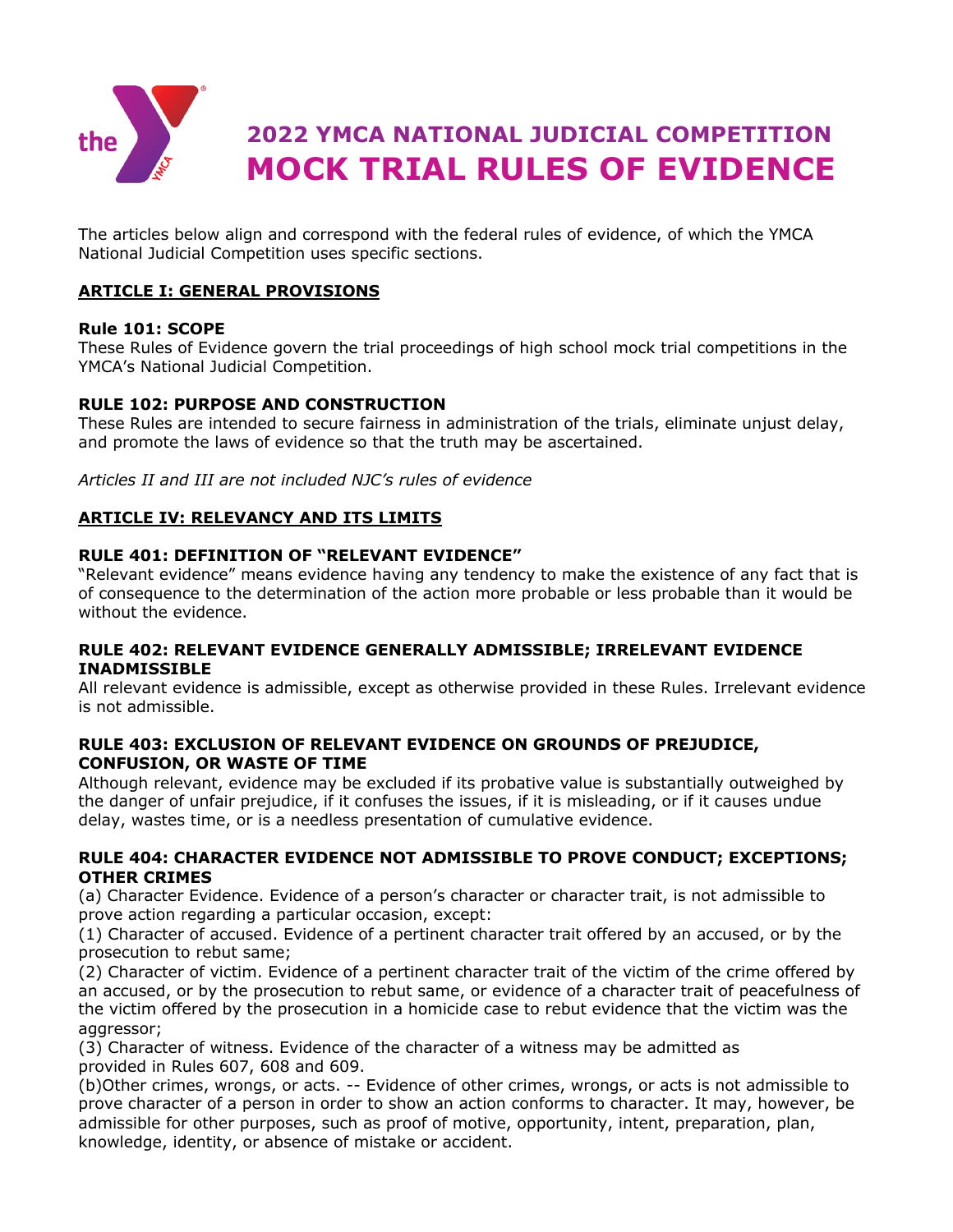

The articles below align and correspond with the federal rules of evidence, of which the YMCA National Judicial Competition uses specific sections.

# **ARTICLE I: GENERAL PROVISIONS**

### **Rule 101: SCOPE**

These Rules of Evidence govern the trial proceedings of high school mock trial competitions in the YMCA's National Judicial Competition.

# **RULE 102: PURPOSE AND CONSTRUCTION**

These Rules are intended to secure fairness in administration of the trials, eliminate unjust delay, and promote the laws of evidence so that the truth may be ascertained.

*Articles II and III are not included NJC's rules of evidence*

# **ARTICLE IV: RELEVANCY AND ITS LIMITS**

### **RULE 401: DEFINITION OF "RELEVANT EVIDENCE"**

"Relevant evidence" means evidence having any tendency to make the existence of any fact that is of consequence to the determination of the action more probable or less probable than it would be without the evidence.

#### **RULE 402: RELEVANT EVIDENCE GENERALLY ADMISSIBLE; IRRELEVANT EVIDENCE INADMISSIBLE**

All relevant evidence is admissible, except as otherwise provided in these Rules. Irrelevant evidence is not admissible.

### **RULE 403: EXCLUSION OF RELEVANT EVIDENCE ON GROUNDS OF PREJUDICE, CONFUSION, OR WASTE OF TIME**

Although relevant, evidence may be excluded if its probative value is substantially outweighed by the danger of unfair prejudice, if it confuses the issues, if it is misleading, or if it causes undue delay, wastes time, or is a needless presentation of cumulative evidence.

#### **RULE 404: CHARACTER EVIDENCE NOT ADMISSIBLE TO PROVE CONDUCT; EXCEPTIONS; OTHER CRIMES**

(a) Character Evidence. Evidence of a person's character or character trait, is not admissible to prove action regarding a particular occasion, except:

(1) Character of accused. Evidence of a pertinent character trait offered by an accused, or by the prosecution to rebut same;

(2) Character of victim. Evidence of a pertinent character trait of the victim of the crime offered by an accused, or by the prosecution to rebut same, or evidence of a character trait of peacefulness of the victim offered by the prosecution in a homicide case to rebut evidence that the victim was the aggressor;

(3) Character of witness. Evidence of the character of a witness may be admitted as provided in Rules 607, 608 and 609.

(b)Other crimes, wrongs, or acts. -- Evidence of other crimes, wrongs, or acts is not admissible to prove character of a person in order to show an action conforms to character. It may, however, be admissible for other purposes, such as proof of motive, opportunity, intent, preparation, plan, knowledge, identity, or absence of mistake or accident.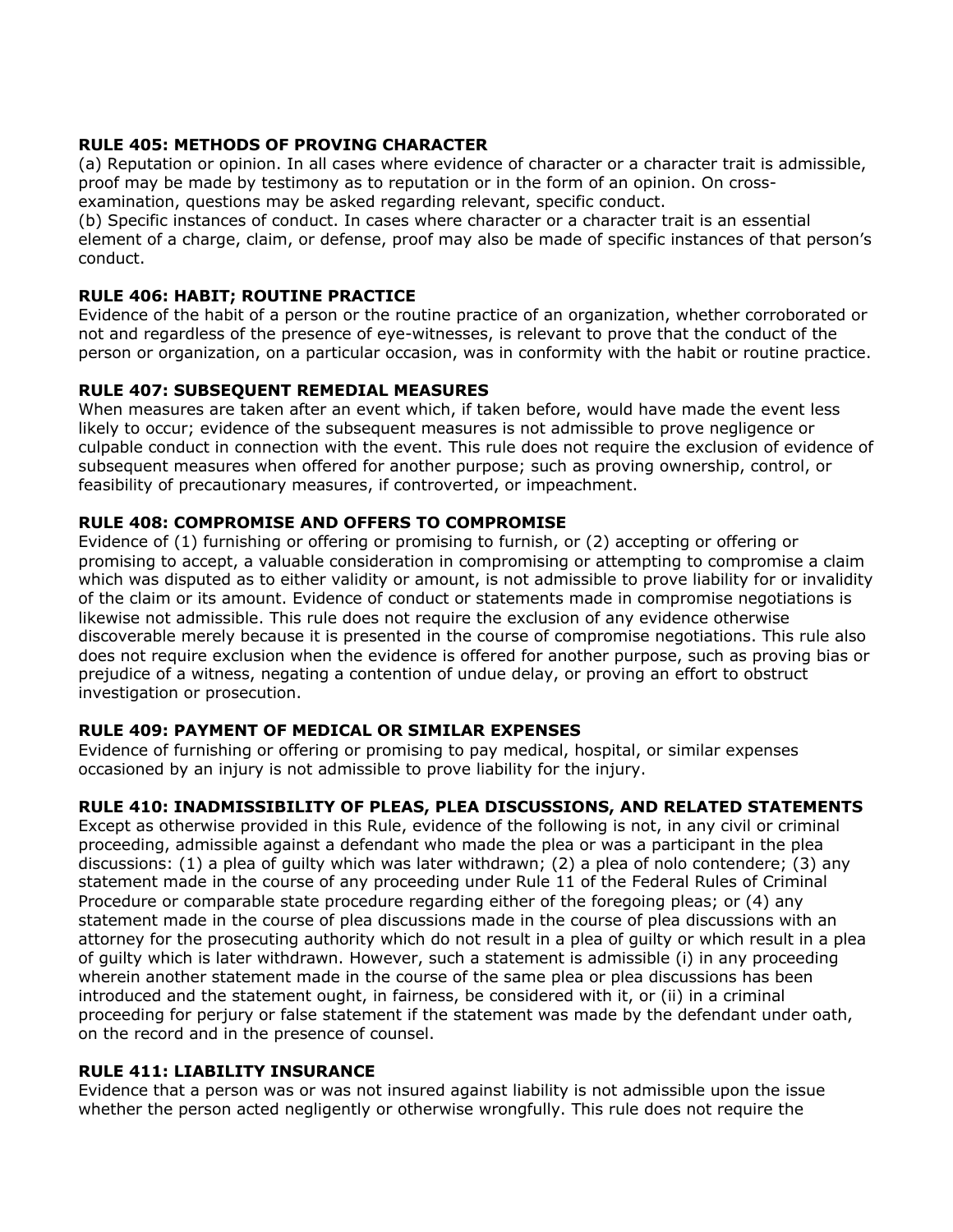# **RULE 405: METHODS OF PROVING CHARACTER**

(a) Reputation or opinion. In all cases where evidence of character or a character trait is admissible, proof may be made by testimony as to reputation or in the form of an opinion. On cross-

examination, questions may be asked regarding relevant, specific conduct.

(b) Specific instances of conduct. In cases where character or a character trait is an essential element of a charge, claim, or defense, proof may also be made of specific instances of that person's conduct.

#### **RULE 406: HABIT; ROUTINE PRACTICE**

Evidence of the habit of a person or the routine practice of an organization, whether corroborated or not and regardless of the presence of eye-witnesses, is relevant to prove that the conduct of the person or organization, on a particular occasion, was in conformity with the habit or routine practice.

#### **RULE 407: SUBSEQUENT REMEDIAL MEASURES**

When measures are taken after an event which, if taken before, would have made the event less likely to occur; evidence of the subsequent measures is not admissible to prove negligence or culpable conduct in connection with the event. This rule does not require the exclusion of evidence of subsequent measures when offered for another purpose; such as proving ownership, control, or feasibility of precautionary measures, if controverted, or impeachment.

### **RULE 408: COMPROMISE AND OFFERS TO COMPROMISE**

Evidence of (1) furnishing or offering or promising to furnish, or (2) accepting or offering or promising to accept, a valuable consideration in compromising or attempting to compromise a claim which was disputed as to either validity or amount, is not admissible to prove liability for or invalidity of the claim or its amount. Evidence of conduct or statements made in compromise negotiations is likewise not admissible. This rule does not require the exclusion of any evidence otherwise discoverable merely because it is presented in the course of compromise negotiations. This rule also does not require exclusion when the evidence is offered for another purpose, such as proving bias or prejudice of a witness, negating a contention of undue delay, or proving an effort to obstruct investigation or prosecution.

#### **RULE 409: PAYMENT OF MEDICAL OR SIMILAR EXPENSES**

Evidence of furnishing or offering or promising to pay medical, hospital, or similar expenses occasioned by an injury is not admissible to prove liability for the injury.

#### **RULE 410: INADMISSIBILITY OF PLEAS, PLEA DISCUSSIONS, AND RELATED STATEMENTS**

Except as otherwise provided in this Rule, evidence of the following is not, in any civil or criminal proceeding, admissible against a defendant who made the plea or was a participant in the plea discussions: (1) a plea of guilty which was later withdrawn; (2) a plea of nolo contendere; (3) any statement made in the course of any proceeding under Rule 11 of the Federal Rules of Criminal Procedure or comparable state procedure regarding either of the foregoing pleas; or (4) any statement made in the course of plea discussions made in the course of plea discussions with an attorney for the prosecuting authority which do not result in a plea of guilty or which result in a plea of guilty which is later withdrawn. However, such a statement is admissible (i) in any proceeding wherein another statement made in the course of the same plea or plea discussions has been introduced and the statement ought, in fairness, be considered with it, or (ii) in a criminal proceeding for perjury or false statement if the statement was made by the defendant under oath, on the record and in the presence of counsel.

#### **RULE 411: LIABILITY INSURANCE**

Evidence that a person was or was not insured against liability is not admissible upon the issue whether the person acted negligently or otherwise wrongfully. This rule does not require the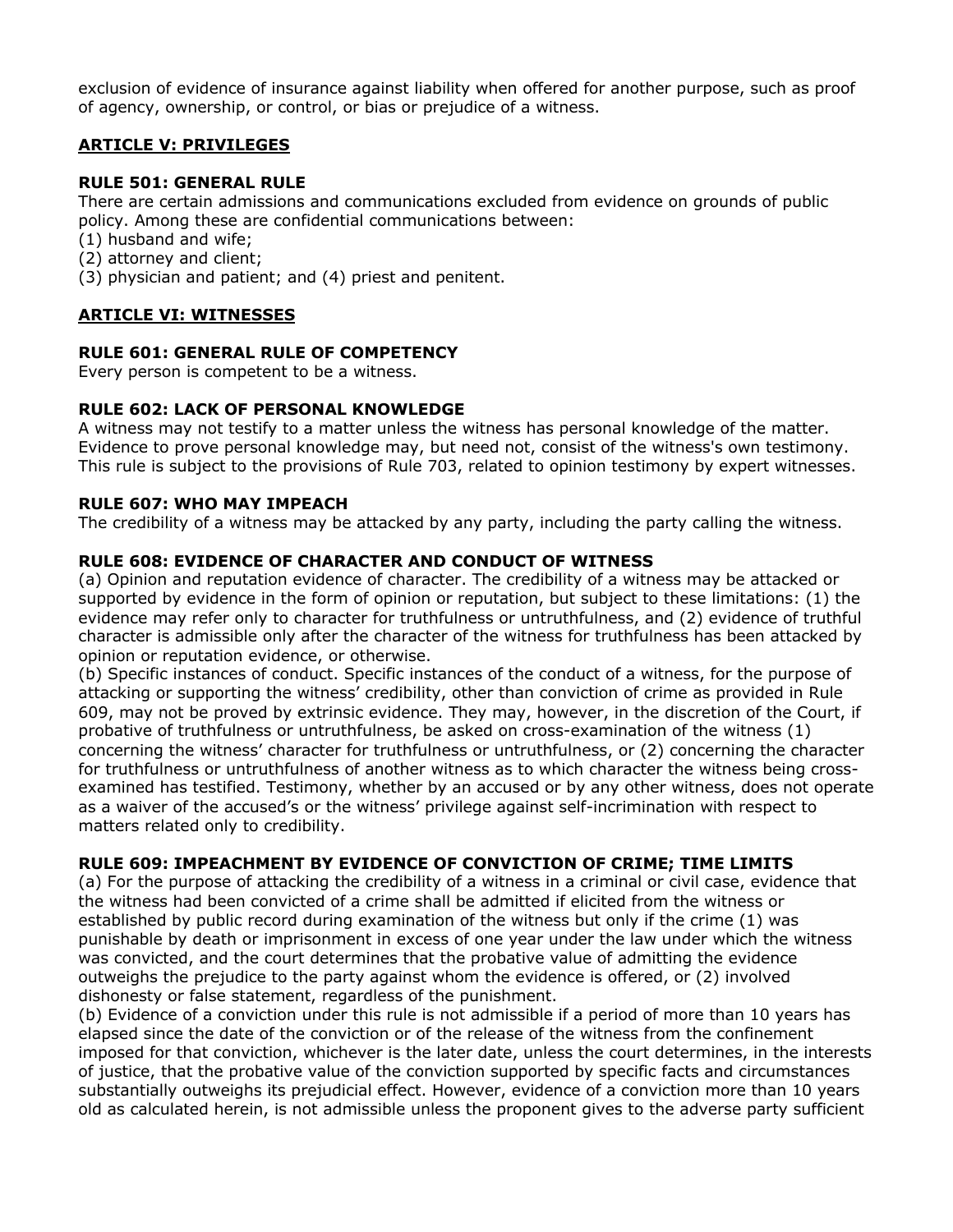exclusion of evidence of insurance against liability when offered for another purpose, such as proof of agency, ownership, or control, or bias or prejudice of a witness.

# **ARTICLE V: PRIVILEGES**

#### **RULE 501: GENERAL RULE**

There are certain admissions and communications excluded from evidence on grounds of public policy. Among these are confidential communications between:

(1) husband and wife;

(2) attorney and client;

(3) physician and patient; and (4) priest and penitent.

#### **ARTICLE VI: WITNESSES**

#### **RULE 601: GENERAL RULE OF COMPETENCY**

Every person is competent to be a witness.

#### **RULE 602: LACK OF PERSONAL KNOWLEDGE**

A witness may not testify to a matter unless the witness has personal knowledge of the matter. Evidence to prove personal knowledge may, but need not, consist of the witness's own testimony. This rule is subject to the provisions of Rule 703, related to opinion testimony by expert witnesses.

#### **RULE 607: WHO MAY IMPEACH**

The credibility of a witness may be attacked by any party, including the party calling the witness.

#### **RULE 608: EVIDENCE OF CHARACTER AND CONDUCT OF WITNESS**

(a) Opinion and reputation evidence of character. The credibility of a witness may be attacked or supported by evidence in the form of opinion or reputation, but subject to these limitations: (1) the evidence may refer only to character for truthfulness or untruthfulness, and (2) evidence of truthful character is admissible only after the character of the witness for truthfulness has been attacked by opinion or reputation evidence, or otherwise.

(b) Specific instances of conduct. Specific instances of the conduct of a witness, for the purpose of attacking or supporting the witness' credibility, other than conviction of crime as provided in Rule 609, may not be proved by extrinsic evidence. They may, however, in the discretion of the Court, if probative of truthfulness or untruthfulness, be asked on cross-examination of the witness (1) concerning the witness' character for truthfulness or untruthfulness, or (2) concerning the character for truthfulness or untruthfulness of another witness as to which character the witness being crossexamined has testified. Testimony, whether by an accused or by any other witness, does not operate as a waiver of the accused's or the witness' privilege against self-incrimination with respect to matters related only to credibility.

#### **RULE 609: IMPEACHMENT BY EVIDENCE OF CONVICTION OF CRIME; TIME LIMITS**

(a) For the purpose of attacking the credibility of a witness in a criminal or civil case, evidence that the witness had been convicted of a crime shall be admitted if elicited from the witness or established by public record during examination of the witness but only if the crime (1) was punishable by death or imprisonment in excess of one year under the law under which the witness was convicted, and the court determines that the probative value of admitting the evidence outweighs the prejudice to the party against whom the evidence is offered, or (2) involved dishonesty or false statement, regardless of the punishment.

(b) Evidence of a conviction under this rule is not admissible if a period of more than 10 years has elapsed since the date of the conviction or of the release of the witness from the confinement imposed for that conviction, whichever is the later date, unless the court determines, in the interests of justice, that the probative value of the conviction supported by specific facts and circumstances substantially outweighs its prejudicial effect. However, evidence of a conviction more than 10 years old as calculated herein, is not admissible unless the proponent gives to the adverse party sufficient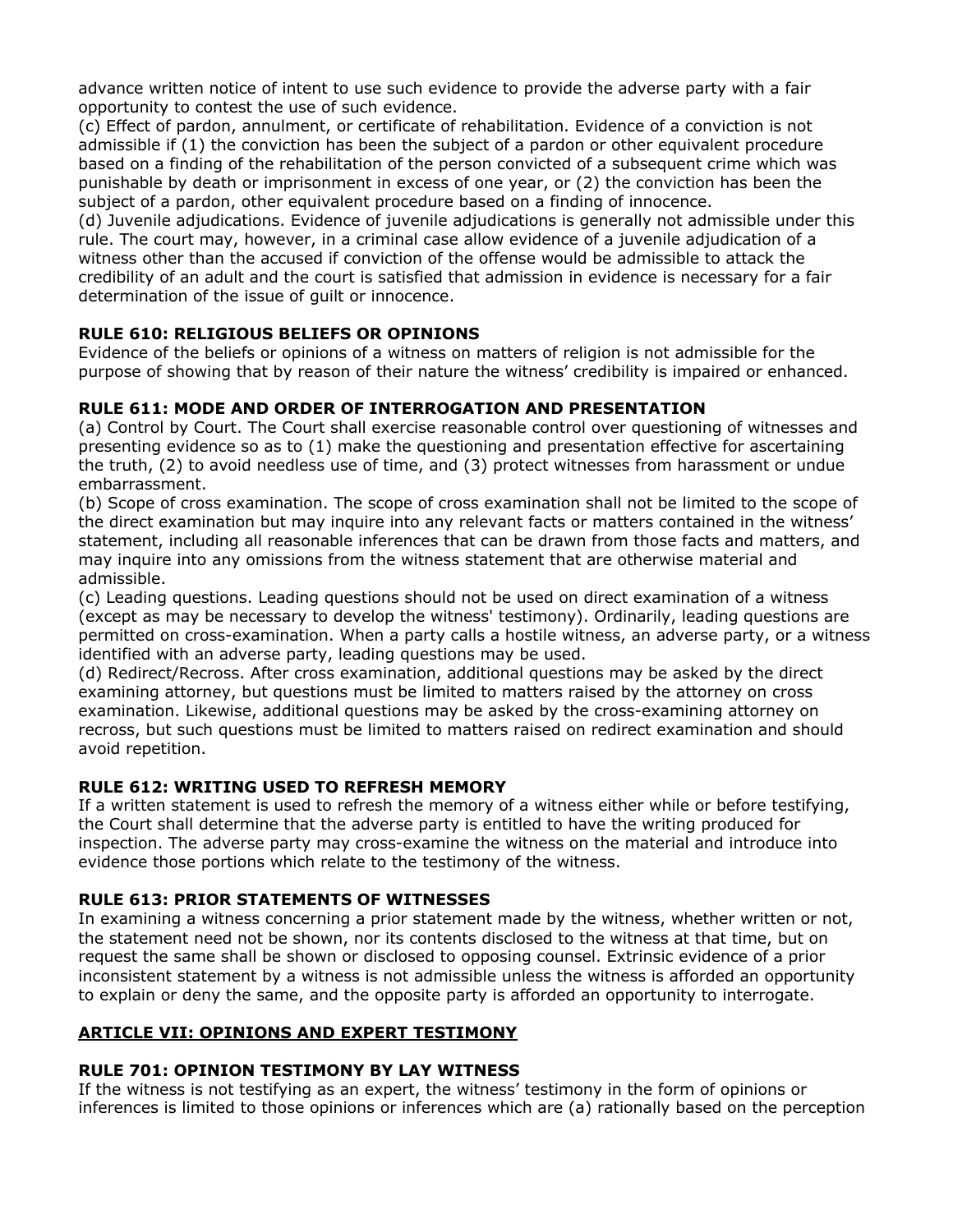advance written notice of intent to use such evidence to provide the adverse party with a fair opportunity to contest the use of such evidence.

(c) Effect of pardon, annulment, or certificate of rehabilitation. Evidence of a conviction is not admissible if (1) the conviction has been the subject of a pardon or other equivalent procedure based on a finding of the rehabilitation of the person convicted of a subsequent crime which was punishable by death or imprisonment in excess of one year, or (2) the conviction has been the subject of a pardon, other equivalent procedure based on a finding of innocence.

(d) Juvenile adjudications. Evidence of juvenile adjudications is generally not admissible under this rule. The court may, however, in a criminal case allow evidence of a juvenile adjudication of a witness other than the accused if conviction of the offense would be admissible to attack the credibility of an adult and the court is satisfied that admission in evidence is necessary for a fair determination of the issue of guilt or innocence.

# **RULE 610: RELIGIOUS BELIEFS OR OPINIONS**

Evidence of the beliefs or opinions of a witness on matters of religion is not admissible for the purpose of showing that by reason of their nature the witness' credibility is impaired or enhanced.

### **RULE 611: MODE AND ORDER OF INTERROGATION AND PRESENTATION**

(a) Control by Court. The Court shall exercise reasonable control over questioning of witnesses and presenting evidence so as to (1) make the questioning and presentation effective for ascertaining the truth, (2) to avoid needless use of time, and (3) protect witnesses from harassment or undue embarrassment.

(b) Scope of cross examination. The scope of cross examination shall not be limited to the scope of the direct examination but may inquire into any relevant facts or matters contained in the witness' statement, including all reasonable inferences that can be drawn from those facts and matters, and may inquire into any omissions from the witness statement that are otherwise material and admissible.

(c) Leading questions. Leading questions should not be used on direct examination of a witness (except as may be necessary to develop the witness' testimony). Ordinarily, leading questions are permitted on cross-examination. When a party calls a hostile witness, an adverse party, or a witness identified with an adverse party, leading questions may be used.

(d) Redirect/Recross. After cross examination, additional questions may be asked by the direct examining attorney, but questions must be limited to matters raised by the attorney on cross examination. Likewise, additional questions may be asked by the cross-examining attorney on recross, but such questions must be limited to matters raised on redirect examination and should avoid repetition.

# **RULE 612: WRITING USED TO REFRESH MEMORY**

If a written statement is used to refresh the memory of a witness either while or before testifying, the Court shall determine that the adverse party is entitled to have the writing produced for inspection. The adverse party may cross-examine the witness on the material and introduce into evidence those portions which relate to the testimony of the witness.

# **RULE 613: PRIOR STATEMENTS OF WITNESSES**

In examining a witness concerning a prior statement made by the witness, whether written or not, the statement need not be shown, nor its contents disclosed to the witness at that time, but on request the same shall be shown or disclosed to opposing counsel. Extrinsic evidence of a prior inconsistent statement by a witness is not admissible unless the witness is afforded an opportunity to explain or deny the same, and the opposite party is afforded an opportunity to interrogate.

# **ARTICLE VII: OPINIONS AND EXPERT TESTIMONY**

# **RULE 701: OPINION TESTIMONY BY LAY WITNESS**

If the witness is not testifying as an expert, the witness' testimony in the form of opinions or inferences is limited to those opinions or inferences which are (a) rationally based on the perception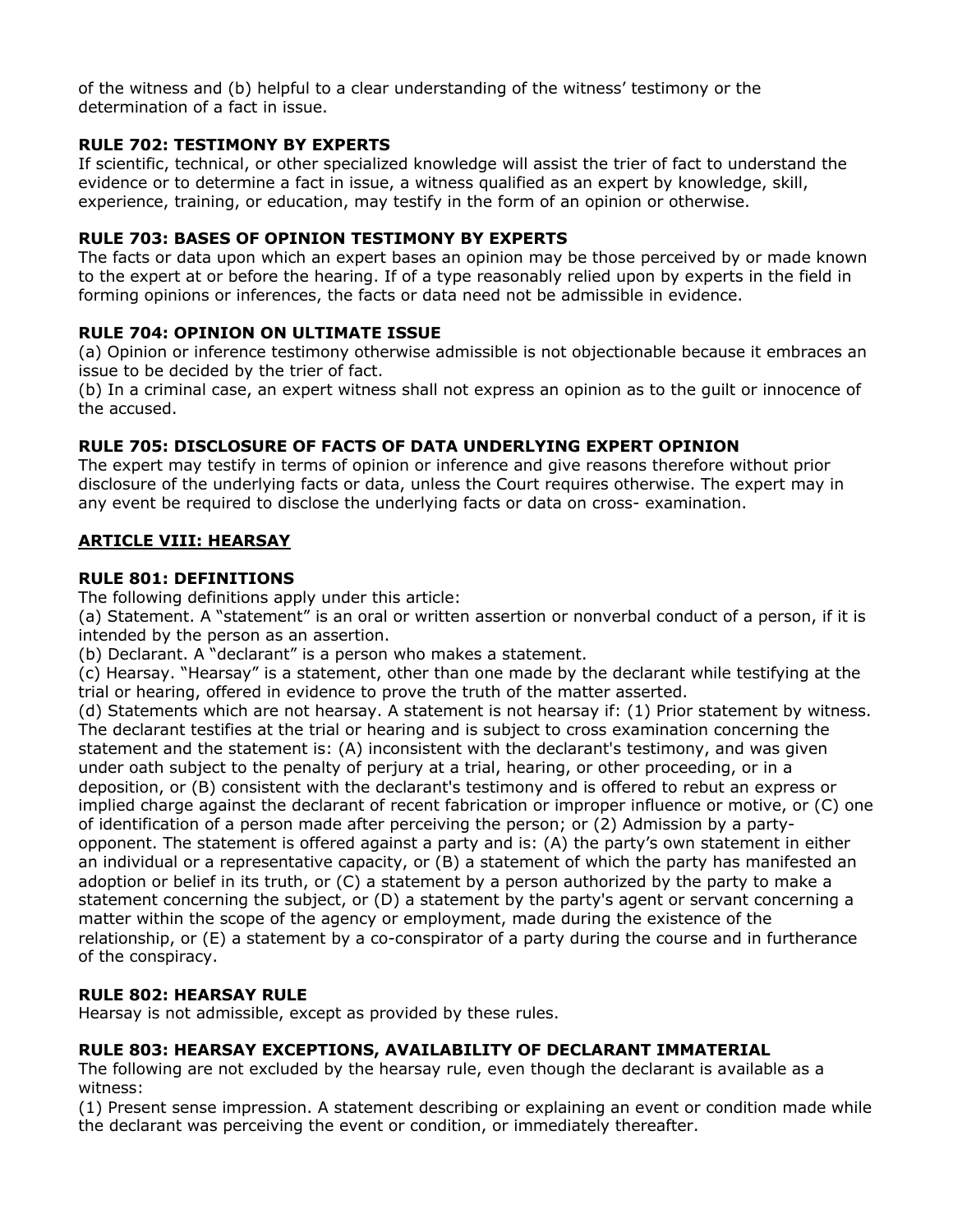of the witness and (b) helpful to a clear understanding of the witness' testimony or the determination of a fact in issue.

### **RULE 702: TESTIMONY BY EXPERTS**

If scientific, technical, or other specialized knowledge will assist the trier of fact to understand the evidence or to determine a fact in issue, a witness qualified as an expert by knowledge, skill, experience, training, or education, may testify in the form of an opinion or otherwise.

#### **RULE 703: BASES OF OPINION TESTIMONY BY EXPERTS**

The facts or data upon which an expert bases an opinion may be those perceived by or made known to the expert at or before the hearing. If of a type reasonably relied upon by experts in the field in forming opinions or inferences, the facts or data need not be admissible in evidence.

### **RULE 704: OPINION ON ULTIMATE ISSUE**

(a) Opinion or inference testimony otherwise admissible is not objectionable because it embraces an issue to be decided by the trier of fact.

(b) In a criminal case, an expert witness shall not express an opinion as to the guilt or innocence of the accused.

### **RULE 705: DISCLOSURE OF FACTS OF DATA UNDERLYING EXPERT OPINION**

The expert may testify in terms of opinion or inference and give reasons therefore without prior disclosure of the underlying facts or data, unless the Court requires otherwise. The expert may in any event be required to disclose the underlying facts or data on cross- examination.

# **ARTICLE VIII: HEARSAY**

### **RULE 801: DEFINITIONS**

The following definitions apply under this article:

(a) Statement. A "statement" is an oral or written assertion or nonverbal conduct of a person, if it is intended by the person as an assertion.

(b) Declarant. A "declarant" is a person who makes a statement.

(c) Hearsay. "Hearsay" is a statement, other than one made by the declarant while testifying at the trial or hearing, offered in evidence to prove the truth of the matter asserted.

(d) Statements which are not hearsay. A statement is not hearsay if: (1) Prior statement by witness. The declarant testifies at the trial or hearing and is subject to cross examination concerning the statement and the statement is: (A) inconsistent with the declarant's testimony, and was given under oath subject to the penalty of perjury at a trial, hearing, or other proceeding, or in a deposition, or (B) consistent with the declarant's testimony and is offered to rebut an express or implied charge against the declarant of recent fabrication or improper influence or motive, or (C) one of identification of a person made after perceiving the person; or (2) Admission by a partyopponent. The statement is offered against a party and is: (A) the party's own statement in either an individual or a representative capacity, or (B) a statement of which the party has manifested an adoption or belief in its truth, or (C) a statement by a person authorized by the party to make a statement concerning the subject, or (D) a statement by the party's agent or servant concerning a matter within the scope of the agency or employment, made during the existence of the relationship, or (E) a statement by a co-conspirator of a party during the course and in furtherance of the conspiracy.

# **RULE 802: HEARSAY RULE**

Hearsay is not admissible, except as provided by these rules.

#### **RULE 803: HEARSAY EXCEPTIONS, AVAILABILITY OF DECLARANT IMMATERIAL**

The following are not excluded by the hearsay rule, even though the declarant is available as a witness:

(1) Present sense impression. A statement describing or explaining an event or condition made while the declarant was perceiving the event or condition, or immediately thereafter.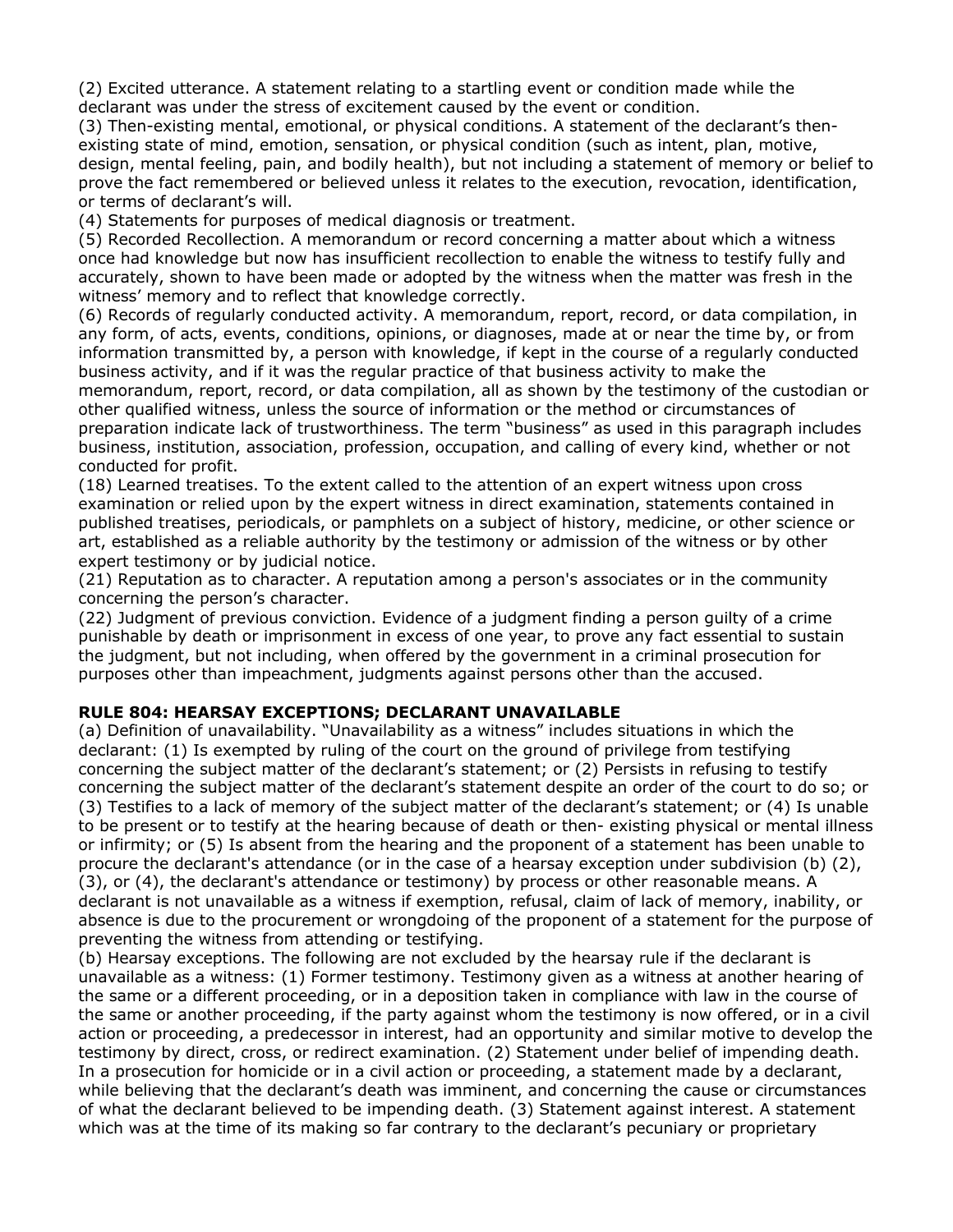(2) Excited utterance. A statement relating to a startling event or condition made while the declarant was under the stress of excitement caused by the event or condition.

(3) Then-existing mental, emotional, or physical conditions. A statement of the declarant's thenexisting state of mind, emotion, sensation, or physical condition (such as intent, plan, motive, design, mental feeling, pain, and bodily health), but not including a statement of memory or belief to prove the fact remembered or believed unless it relates to the execution, revocation, identification, or terms of declarant's will.

(4) Statements for purposes of medical diagnosis or treatment.

(5) Recorded Recollection. A memorandum or record concerning a matter about which a witness once had knowledge but now has insufficient recollection to enable the witness to testify fully and accurately, shown to have been made or adopted by the witness when the matter was fresh in the witness' memory and to reflect that knowledge correctly.

(6) Records of regularly conducted activity. A memorandum, report, record, or data compilation, in any form, of acts, events, conditions, opinions, or diagnoses, made at or near the time by, or from information transmitted by, a person with knowledge, if kept in the course of a regularly conducted business activity, and if it was the regular practice of that business activity to make the memorandum, report, record, or data compilation, all as shown by the testimony of the custodian or other qualified witness, unless the source of information or the method or circumstances of preparation indicate lack of trustworthiness. The term "business" as used in this paragraph includes business, institution, association, profession, occupation, and calling of every kind, whether or not conducted for profit.

(18) Learned treatises. To the extent called to the attention of an expert witness upon cross examination or relied upon by the expert witness in direct examination, statements contained in published treatises, periodicals, or pamphlets on a subject of history, medicine, or other science or art, established as a reliable authority by the testimony or admission of the witness or by other expert testimony or by judicial notice.

(21) Reputation as to character. A reputation among a person's associates or in the community concerning the person's character.

(22) Judgment of previous conviction. Evidence of a judgment finding a person guilty of a crime punishable by death or imprisonment in excess of one year, to prove any fact essential to sustain the judgment, but not including, when offered by the government in a criminal prosecution for purposes other than impeachment, judgments against persons other than the accused.

#### **RULE 804: HEARSAY EXCEPTIONS; DECLARANT UNAVAILABLE**

(a) Definition of unavailability. "Unavailability as a witness" includes situations in which the declarant: (1) Is exempted by ruling of the court on the ground of privilege from testifying concerning the subject matter of the declarant's statement; or (2) Persists in refusing to testify concerning the subject matter of the declarant's statement despite an order of the court to do so; or (3) Testifies to a lack of memory of the subject matter of the declarant's statement; or (4) Is unable to be present or to testify at the hearing because of death or then- existing physical or mental illness or infirmity; or (5) Is absent from the hearing and the proponent of a statement has been unable to procure the declarant's attendance (or in the case of a hearsay exception under subdivision (b) (2), (3), or (4), the declarant's attendance or testimony) by process or other reasonable means. A declarant is not unavailable as a witness if exemption, refusal, claim of lack of memory, inability, or absence is due to the procurement or wrongdoing of the proponent of a statement for the purpose of preventing the witness from attending or testifying.

(b) Hearsay exceptions. The following are not excluded by the hearsay rule if the declarant is unavailable as a witness: (1) Former testimony. Testimony given as a witness at another hearing of the same or a different proceeding, or in a deposition taken in compliance with law in the course of the same or another proceeding, if the party against whom the testimony is now offered, or in a civil action or proceeding, a predecessor in interest, had an opportunity and similar motive to develop the testimony by direct, cross, or redirect examination. (2) Statement under belief of impending death. In a prosecution for homicide or in a civil action or proceeding, a statement made by a declarant, while believing that the declarant's death was imminent, and concerning the cause or circumstances of what the declarant believed to be impending death. (3) Statement against interest. A statement which was at the time of its making so far contrary to the declarant's pecuniary or proprietary